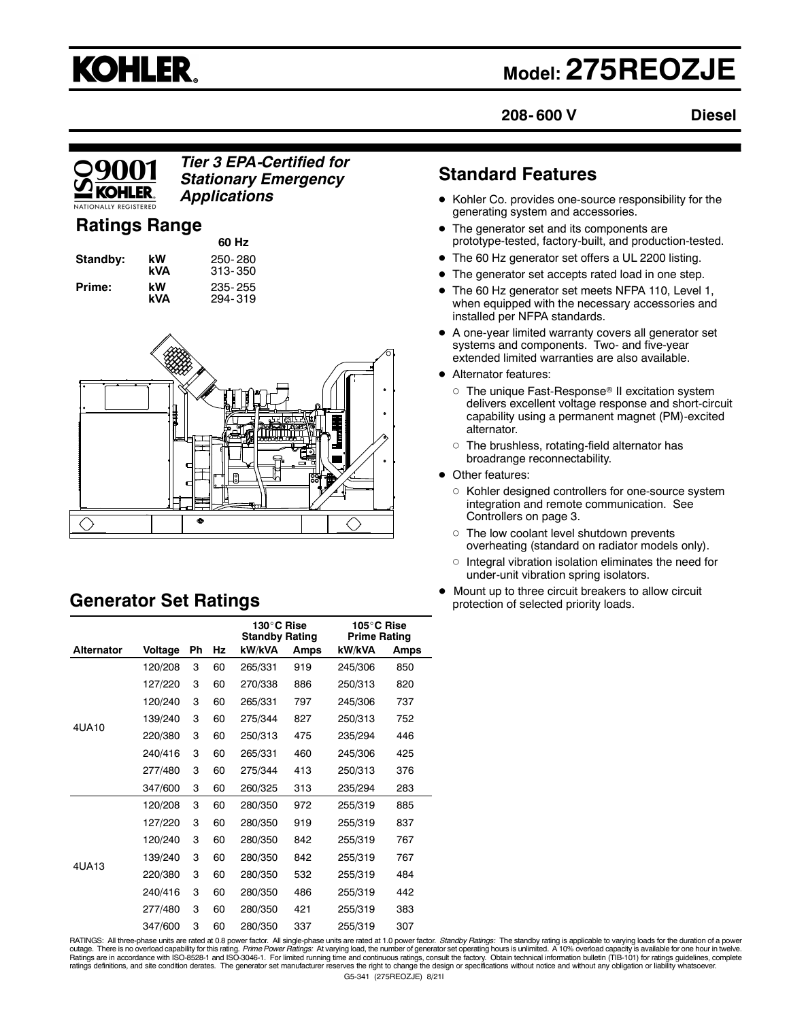# **KOHLER.**

# **Model: 275REOZJE**

**208- 600 V Diesel**

### *Tier 3 EPA-Certified for Stationary Emergency Applications*

# **Ratings Range**

|          |           | 60 Hz                  |
|----------|-----------|------------------------|
| Standby: | kW<br>kVA | 250-280<br>$313 - 350$ |
| Prime:   | kW        | 235-255                |
|          | kVA       | 294-319                |



# **Generator Set Ratings**

|            |         |    |    | 130°C Rise<br><b>Standby Rating</b> |      | 105°C Rise<br><b>Prime Rating</b> |      |
|------------|---------|----|----|-------------------------------------|------|-----------------------------------|------|
| Alternator | Voltage | Ph | Hz | kW/kVA                              | Amps | kW/kVA                            | Amps |
|            | 120/208 | 3  | 60 | 265/331                             | 919  | 245/306                           | 850  |
|            | 127/220 | 3  | 60 | 270/338                             | 886  | 250/313                           | 820  |
|            | 120/240 | 3  | 60 | 265/331                             | 797  | 245/306                           | 737  |
|            | 139/240 | 3  | 60 | 275/344                             | 827  | 250/313                           | 752  |
| 4UA10      | 220/380 | 3  | 60 | 250/313                             | 475  | 235/294                           | 446  |
|            | 240/416 | 3  | 60 | 265/331                             | 460  | 245/306                           | 425  |
|            | 277/480 | 3  | 60 | 275/344                             | 413  | 250/313                           | 376  |
|            | 347/600 | 3  | 60 | 260/325                             | 313  | 235/294                           | 283  |
|            | 120/208 | 3  | 60 | 280/350                             | 972  | 255/319                           | 885  |
|            | 127/220 | 3  | 60 | 280/350                             | 919  | 255/319                           | 837  |
|            | 120/240 | 3  | 60 | 280/350                             | 842  | 255/319                           | 767  |
| 4UA13      | 139/240 | 3  | 60 | 280/350                             | 842  | 255/319                           | 767  |
|            | 220/380 | 3  | 60 | 280/350                             | 532  | 255/319                           | 484  |
|            | 240/416 | 3  | 60 | 280/350                             | 486  | 255/319                           | 442  |
|            | 277/480 | 3  | 60 | 280/350                             | 421  | 255/319                           | 383  |
|            | 347/600 | 3  | 60 | 280/350                             | 337  | 255/319                           | 307  |

# **Standard Features**

- Kohler Co. provides one-source responsibility for the generating system and accessories.
- The generator set and its components are prototype-tested, factory-built, and production-tested.
- The 60 Hz generator set offers a UL 2200 listing.
- The generator set accepts rated load in one step.
- The 60 Hz generator set meets NFPA 110, Level 1, when equipped with the necessary accessories and installed per NFPA standards.
- A one-year limited warranty covers all generator set systems and components. Two- and five-year extended limited warranties are also available.
- Alternator features:
	- $\circ~$  The unique Fast-Response® II excitation system delivers excellent voltage response and short-circuit capability using a permanent magnet (PM)-excited alternator.
	- $\circ~$  The brushless, rotating-field alternator has broadrange reconnectability.
- Other features:
	- o Kohler designed controllers for one-source system integration and remote communication. See Controllers on page 3.
	- The low coolant level shutdown prevents overheating (standard on radiator models only).
	- Integral vibration isolation eliminates the need for under-unit vibration spring isolators.
- Mount up to three circuit breakers to allow circuit protection of selected priority loads.

G5-341 (275REOZJE) 8/21l RATINGS: All three-phase units are rated at 0.8 power factor. All single-phase units are rated at 1.0 power factor. *Standby Ratings:* The standby rating is applicable to varying loads for the duration of a power factor. A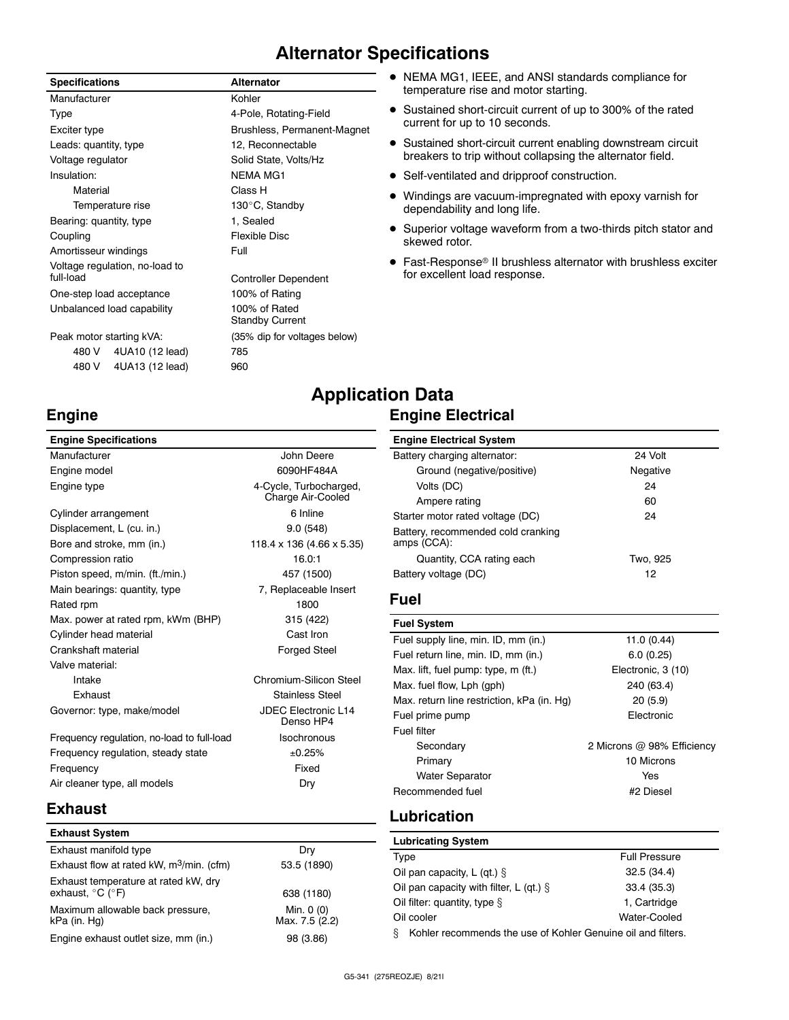# **Alternator Specifications**

### **Specifications Alternator**

| Manufacturer                   | Kohler                                  |
|--------------------------------|-----------------------------------------|
| Type                           | 4-Pole, Rotating-Field                  |
| Exciter type                   | Brushless, Permanent-Magnet             |
| Leads: quantity, type          | 12, Reconnectable                       |
| Voltage regulator              | Solid State, Volts/Hz                   |
| Insulation:                    | <b>NEMA MG1</b>                         |
| Material                       | Class H                                 |
| Temperature rise               | 130°C, Standby                          |
| Bearing: quantity, type        | 1. Sealed                               |
| Coupling                       | Flexible Disc                           |
| Amortisseur windings           | Full                                    |
| Voltage regulation, no-load to |                                         |
| full-load                      | <b>Controller Dependent</b>             |
| One-step load acceptance       | 100% of Rating                          |
| Unbalanced load capability     | 100% of Rated<br><b>Standby Current</b> |
| Peak motor starting kVA:       | (35% dip for voltages below)            |
| 480 V 4UA10 (12 lead)          | 785                                     |
| 4UA13 (12 lead)<br>480 V       | 960                                     |

### NEMA MG1, IEEE, and ANSI standards compliance for temperature rise and motor starting.

- Sustained short-circuit current of up to 300% of the rated current for up to 10 seconds.
- Sustained short-circuit current enabling downstream circuit breakers to trip without collapsing the alternator field.
- Self-ventilated and dripproof construction.
- Windings are vacuum-impregnated with epoxy varnish for dependability and long life.
- Superior voltage waveform from a two-thirds pitch stator and skewed rotor.
- Fast-Response® II brushless alternator with brushless exciter for excellent load response.

# **Engine**

### **Engine Specifications** Manufacturer **Manufacturer** John Deere Engine model 6090HF484A Engine type **4-Cycle**, Turbocharged,

|                                            | Criarge All-Cooled                      |
|--------------------------------------------|-----------------------------------------|
| Cylinder arrangement                       | 6 Inline                                |
| Displacement, L (cu. in.)                  | 9.0(548)                                |
| Bore and stroke, mm (in.)                  | 118.4 x 136 (4.66 x 5.35)               |
| Compression ratio                          | 16.0:1                                  |
| Piston speed, m/min. (ft./min.)            | 457 (1500)                              |
| Main bearings: quantity, type              | 7, Replaceable Insert                   |
| Rated rpm                                  | 1800                                    |
| Max. power at rated rpm, kWm (BHP)         | 315 (422)                               |
| Cylinder head material                     | Cast Iron                               |
| Crankshaft material                        | <b>Forged Steel</b>                     |
| Valve material:                            |                                         |
| Intake                                     | Chromium-Silicon Steel                  |
| Exhaust                                    | <b>Stainless Steel</b>                  |
| Governor: type, make/model                 | <b>JDEC Electronic L14</b><br>Denso HP4 |
| Frequency regulation, no-load to full-load | <b>Isochronous</b>                      |
| Frequency regulation, steady state         | ±0.25%                                  |
| Frequency                                  | Fixed                                   |

# Air-Cooled Denso HP4

### **Engine Electrical System** Battery charging alternator: 24 Volt Ground (negative/positive) Negative Volts (DC) 24 Ampere rating 60 Starter motor rated voltage (DC) 34 Battery, recommended cold cranking amps (CCA): Quantity, CCA rating each Two, 925 Battery voltage (DC) 12

### **Fuel**

**Application Data**

**Engine Electrical**

| <b>Fuel System</b>                         |                            |
|--------------------------------------------|----------------------------|
| Fuel supply line, min. ID, mm (in.)        | 11.0 $(0.44)$              |
| Fuel return line, min. ID, mm (in.)        | 6.0(0.25)                  |
| Max. lift, fuel pump: type, m (ft.)        | Electronic, 3 (10)         |
| Max. fuel flow, Lph (gph)                  | 240 (63.4)                 |
| Max. return line restriction, kPa (in. Hq) | 20(5.9)                    |
| Fuel prime pump                            | Electronic                 |
| Fuel filter                                |                            |
| Secondary                                  | 2 Microns @ 98% Efficiency |
| Primary                                    | 10 Microns                 |
| <b>Water Separator</b>                     | Yes                        |
| Recommended fuel                           | #2 Diesel                  |

### **Exhaust**

| <b>Exhaust System</b>                                                         |                              |
|-------------------------------------------------------------------------------|------------------------------|
| Exhaust manifold type                                                         | Dry                          |
| Exhaust flow at rated kW, $m^3$ /min. (cfm)                                   | 53.5 (1890)                  |
| Exhaust temperature at rated kW, dry<br>exhaust, $^{\circ}$ C ( $^{\circ}$ F) | 638 (1180)                   |
| Maximum allowable back pressure,<br>kPa (in. Hg)                              | Min. 0 (0)<br>Max. 7.5 (2.2) |
| Engine exhaust outlet size, mm (in.)                                          | 98 (3.86)                    |

Air cleaner type, all models **Dry** 

# **Lubrication**

| <b>Lubricating System</b>                                         |                      |  |
|-------------------------------------------------------------------|----------------------|--|
| Type                                                              | <b>Full Pressure</b> |  |
| Oil pan capacity, L (qt.) $\S$                                    | 32.5(34.4)           |  |
| Oil pan capacity with filter, L (qt.) $\S$                        | 33.4(35.3)           |  |
| Oil filter: quantity, type $\S$                                   | 1. Cartridge         |  |
| Oil cooler                                                        | Water-Cooled         |  |
| Kohler recommends the use of Kohler Genuine oil and filters.<br>ş |                      |  |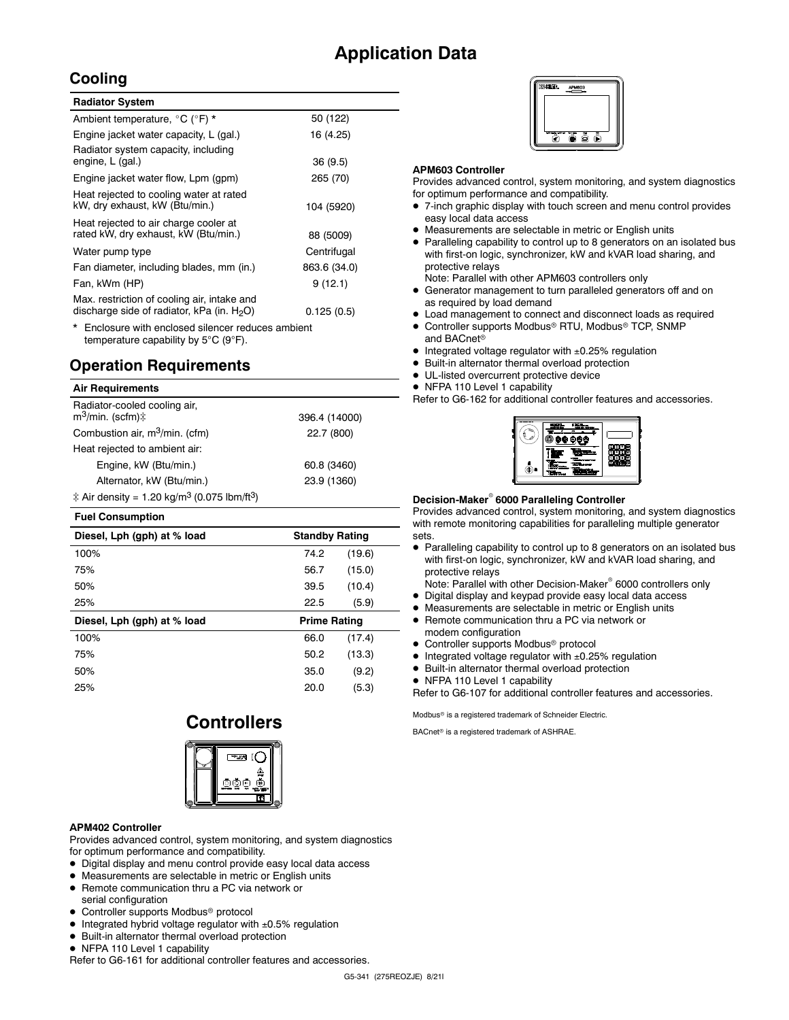# **Application Data**

### **Cooling**

| <b>Radiator System</b>                                                                       |              |
|----------------------------------------------------------------------------------------------|--------------|
| Ambient temperature, °C (°F) *                                                               | 50 (122)     |
| Engine jacket water capacity, L (gal.)                                                       | 16 (4.25)    |
| Radiator system capacity, including<br>engine, L (gal.)                                      | 36(9.5)      |
| Engine jacket water flow, Lpm (gpm)                                                          | 265 (70)     |
| Heat rejected to cooling water at rated<br>kW, dry exhaust, kW (Btu/min.)                    | 104 (5920)   |
| Heat rejected to air charge cooler at<br>rated kW, dry exhaust, kW (Btu/min.)                | 88 (5009)    |
| Water pump type                                                                              | Centrifugal  |
| Fan diameter, including blades, mm (in.)                                                     | 863.6 (34.0) |
| Fan, kWm (HP)                                                                                | 9(12.1)      |
| Max. restriction of cooling air, intake and<br>discharge side of radiator, kPa (in. $H_2O$ ) | 0.125(0.5)   |
| * Enclosure with enclosed silencer reduces ambient                                           |              |

temperature capability by 5°C (9°F).

## **Operation Requirements**

### **Air Requirements**

| Radiator-cooled cooling air,<br>$m^3$ /min. (scfm) $\ddagger$                | 396.4 (14000) |
|------------------------------------------------------------------------------|---------------|
| Combustion air, m <sup>3</sup> /min. (cfm)                                   | 22.7 (800)    |
| Heat rejected to ambient air:                                                |               |
| Engine, kW (Btu/min.)                                                        | 60.8 (3460)   |
| Alternator, kW (Btu/min.)                                                    | 23.9 (1360)   |
| $\ddagger$ Air density = 1.20 kg/m <sup>3</sup> (0.075 lbm/ft <sup>3</sup> ) |               |

### **Fuel Consumption**

| Diesel, Lph (gph) at % load | <b>Standby Rating</b> |        |
|-----------------------------|-----------------------|--------|
| 100%                        | 74.2                  | (19.6) |
| 75%                         | 56.7                  | (15.0) |
| 50%                         | 39.5                  | (10.4) |
| 25%                         | 22.5                  | (5.9)  |
|                             |                       |        |
| Diesel, Lph (gph) at % load | <b>Prime Rating</b>   |        |
| 100%                        | 66.0                  | (17.4) |
| 75%                         | 50.2                  | (13.3) |
| 50%                         | 35.0                  | (9.2)  |
| 25%                         | 20.0                  | (5.3)  |

# **Controllers**



### **APM402 Controller**

Provides advanced control, system monitoring, and system diagnostics for optimum performance and compatibility.

- Digital display and menu control provide easy local data access
- Measurements are selectable in metric or English units
- Remote communication thru a PC via network or
- serial configuration
- Controller supports Modbus<sup>®</sup> protocol
- $\bullet$  Integrated hybrid voltage regulator with  $\pm 0.5\%$  regulation
- Built-in alternator thermal overload protection
- NFPA 110 Level 1 capability

Refer to G6-161 for additional controller features and accessories.

### **APM603 Controller**

Provides advanced control, system monitoring, and system diagnostics for optimum performance and compatibility.

- 7-inch graphic display with touch screen and menu control provides easy local data access
- Measurements are selectable in metric or English units
- Paralleling capability to control up to 8 generators on an isolated bus with first-on logic, synchronizer, kW and kVAR load sharing, and protective relays
- Note: Parallel with other APM603 controllers only
- Generator management to turn paralleled generators off and on as required by load demand
- Load management to connect and disconnect loads as required
- Controller supports Modbus<sup>®</sup> RTU, Modbus<sup>®</sup> TCP, SNMP and BACnet<sup>®</sup>
- $\bullet$  Integrated voltage regulator with  $\pm 0.25\%$  regulation
- Built-in alternator thermal overload protection
- UL-listed overcurrent protective device
- NFPA 110 Level 1 capability
- Refer to G6-162 for additional controller features and accessories.



### **Decision-Maker 6000 Paralleling Controller**

Provides advanced control, system monitoring, and system diagnostics with remote monitoring capabilities for paralleling multiple generator sets.

 Paralleling capability to control up to 8 generators on an isolated bus with first-on logic, synchronizer, kW and kVAR load sharing, and protective relays

Note: Parallel with other Decision-Maker<sup>®</sup> 6000 controllers only

- Digital display and keypad provide easy local data access
- Measurements are selectable in metric or English units
- Remote communication thru a PC via network or modem configuration
- Controller supports Modbus<sup>®</sup> protocol
- $\bullet$  Integrated voltage regulator with  $\pm 0.25\%$  regulation
- Built-in alternator thermal overload protection
- NFPA 110 Level 1 capability

Refer to G6-107 for additional controller features and accessories.

Modbus<sup>®</sup> is a registered trademark of Schneider Electric.

BACnet<sup>®</sup> is a registered trademark of ASHRAE.